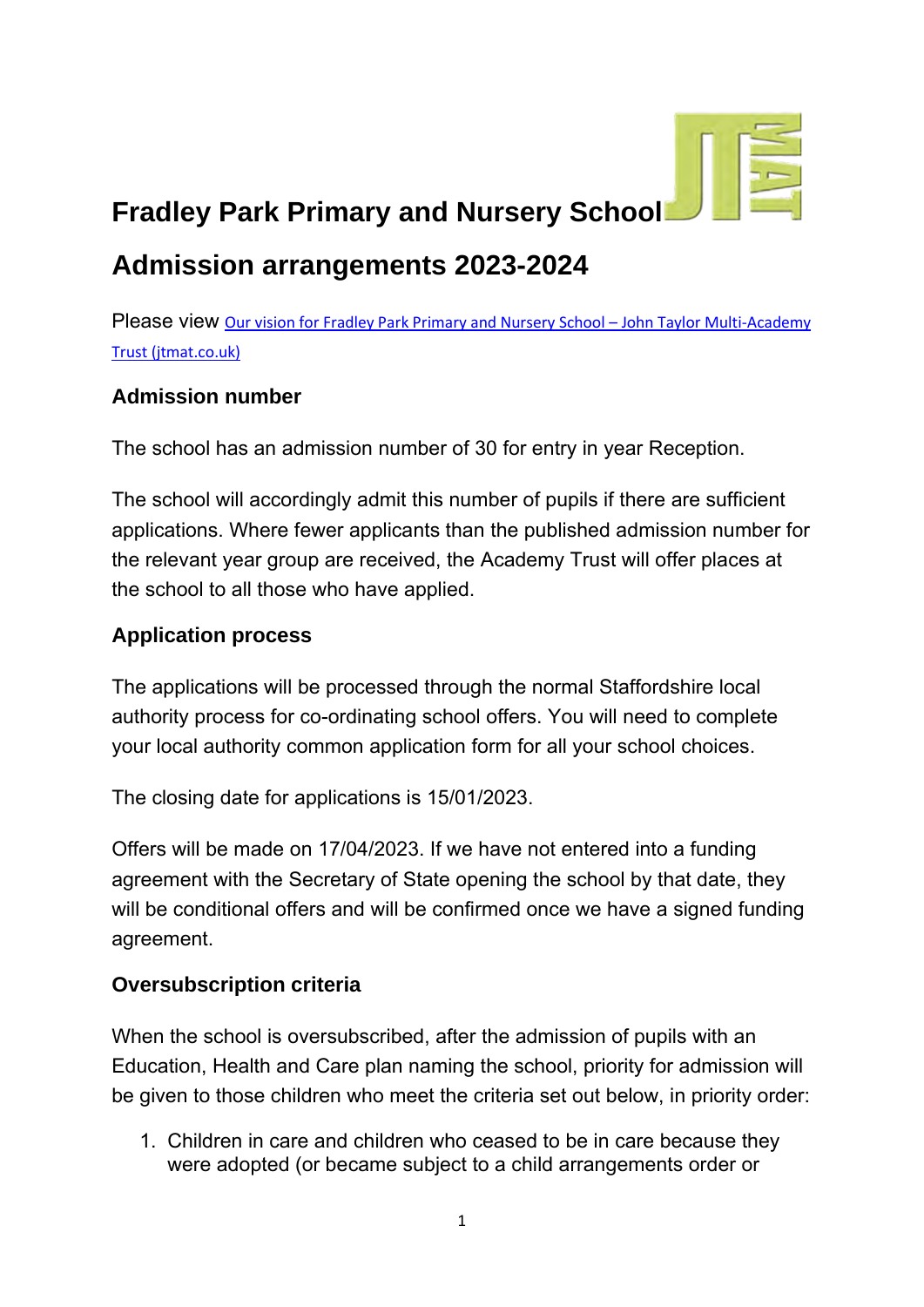

# **Fradley Park Primary and Nursery School**

# **Admission arrangements 2023-2024**

Please view [Our vision for Fradley Park Primary and Nursery School](https://jtmat.co.uk/2020/12/03/our-vision-for-fradley-park-primary-free-school/) - John Taylor Multi-Academy [Trust \(jtmat.co.uk\)](https://jtmat.co.uk/2020/12/03/our-vision-for-fradley-park-primary-free-school/)

#### **Admission number**

The school has an admission number of 30 for entry in year Reception.

The school will accordingly admit this number of pupils if there are sufficient applications. Where fewer applicants than the published admission number for the relevant year group are received, the Academy Trust will offer places at the school to all those who have applied.

#### **Application process**

The applications will be processed through the normal Staffordshire local authority process for co-ordinating school offers. You will need to complete your local authority common application form for all your school choices.

The closing date for applications is 15/01/2023.

Offers will be made on 17/04/2023. If we have not entered into a funding agreement with the Secretary of State opening the school by that date, they will be conditional offers and will be confirmed once we have a signed funding agreement.

#### **Oversubscription criteria**

When the school is oversubscribed, after the admission of pupils with an Education, Health and Care plan naming the school, priority for admission will be given to those children who meet the criteria set out below, in priority order:

1. Children in care and children who ceased to be in care because they were adopted (or became subject to a child arrangements order or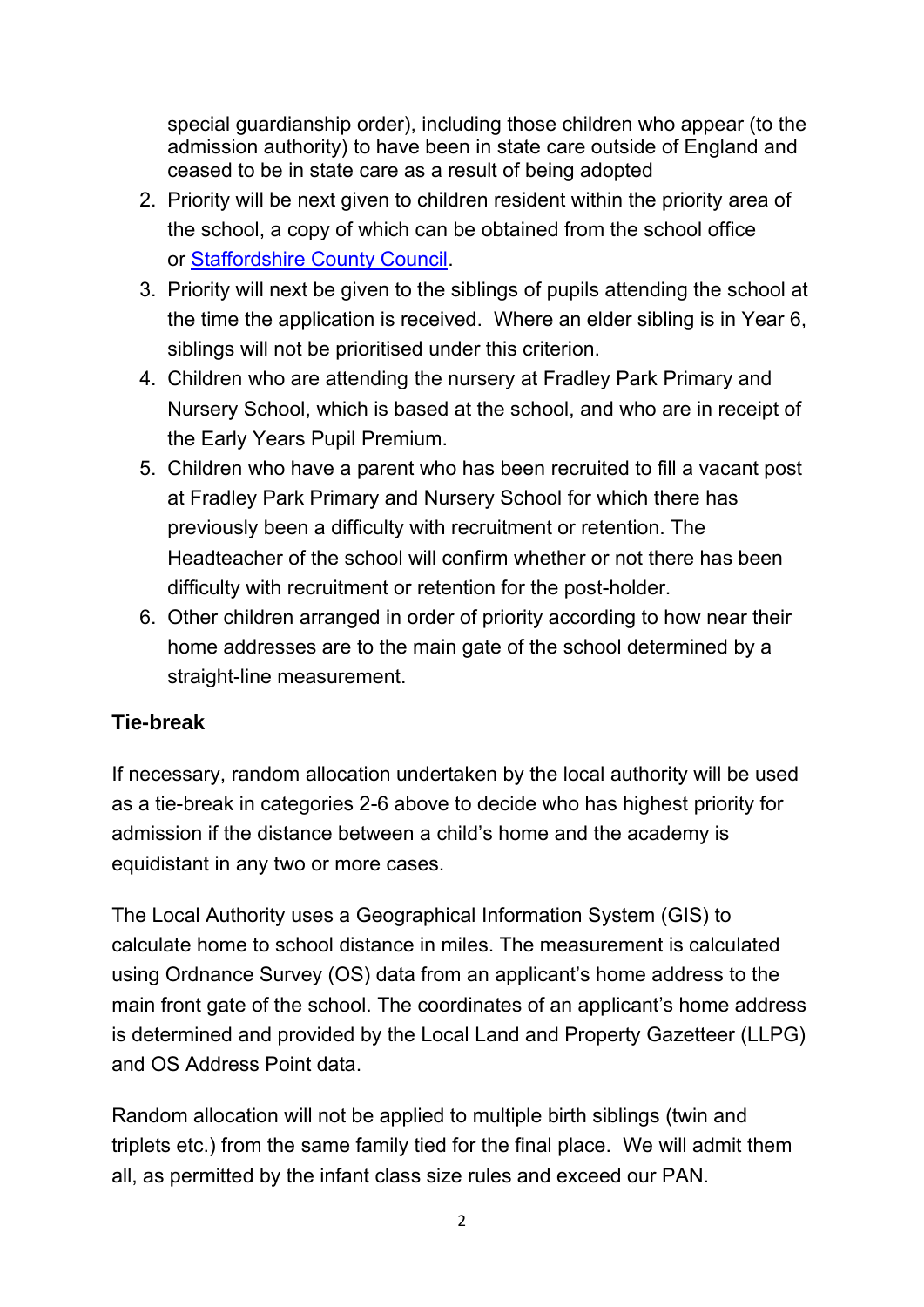special guardianship order), including those children who appear (to the admission authority) to have been in state care outside of England and ceased to be in state care as a result of being adopted

- 2. Priority will be next given to children resident within the priority area of the school, a copy of which can be obtained from the school office or [Staffordshire County Council.](https://apps2.staffordshire.gov.uk/scc/schooldetails/default.aspx)
- 3. Priority will next be given to the siblings of pupils attending the school at the time the application is received. Where an elder sibling is in Year 6, siblings will not be prioritised under this criterion.
- 4. Children who are attending the nursery at Fradley Park Primary and Nursery School, which is based at the school, and who are in receipt of the Early Years Pupil Premium.
- 5. Children who have a parent who has been recruited to fill a vacant post at Fradley Park Primary and Nursery School for which there has previously been a difficulty with recruitment or retention. The Headteacher of the school will confirm whether or not there has been difficulty with recruitment or retention for the post-holder.
- 6. Other children arranged in order of priority according to how near their home addresses are to the main gate of the school determined by a straight-line measurement.

# **Tie-break**

If necessary, random allocation undertaken by the local authority will be used as a tie-break in categories 2-6 above to decide who has highest priority for admission if the distance between a child's home and the academy is equidistant in any two or more cases.

The Local Authority uses a Geographical Information System (GIS) to calculate home to school distance in miles. The measurement is calculated using Ordnance Survey (OS) data from an applicant's home address to the main front gate of the school. The coordinates of an applicant's home address is determined and provided by the Local Land and Property Gazetteer (LLPG) and OS Address Point data.

Random allocation will not be applied to multiple birth siblings (twin and triplets etc.) from the same family tied for the final place. We will admit them all, as permitted by the infant class size rules and exceed our PAN.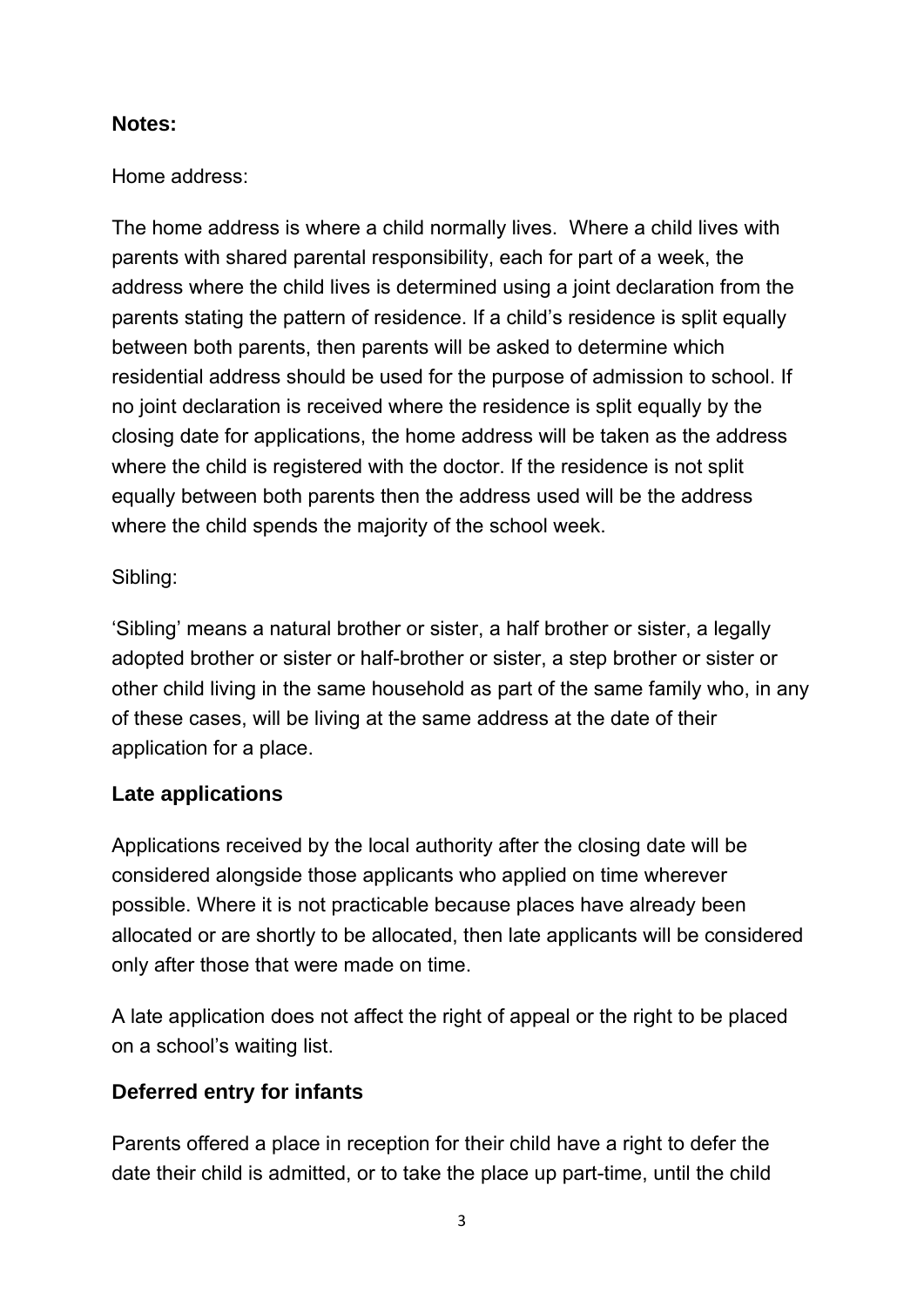#### **Notes:**

#### Home address:

The home address is where a child normally lives. Where a child lives with parents with shared parental responsibility, each for part of a week, the address where the child lives is determined using a joint declaration from the parents stating the pattern of residence. If a child's residence is split equally between both parents, then parents will be asked to determine which residential address should be used for the purpose of admission to school. If no joint declaration is received where the residence is split equally by the closing date for applications, the home address will be taken as the address where the child is registered with the doctor. If the residence is not split equally between both parents then the address used will be the address where the child spends the majority of the school week.

# Sibling:

'Sibling' means a natural brother or sister, a half brother or sister, a legally adopted brother or sister or half-brother or sister, a step brother or sister or other child living in the same household as part of the same family who, in any of these cases, will be living at the same address at the date of their application for a place.

# **Late applications**

Applications received by the local authority after the closing date will be considered alongside those applicants who applied on time wherever possible. Where it is not practicable because places have already been allocated or are shortly to be allocated, then late applicants will be considered only after those that were made on time.

A late application does not affect the right of appeal or the right to be placed on a school's waiting list.

# **Deferred entry for infants**

Parents offered a place in reception for their child have a right to defer the date their child is admitted, or to take the place up part-time, until the child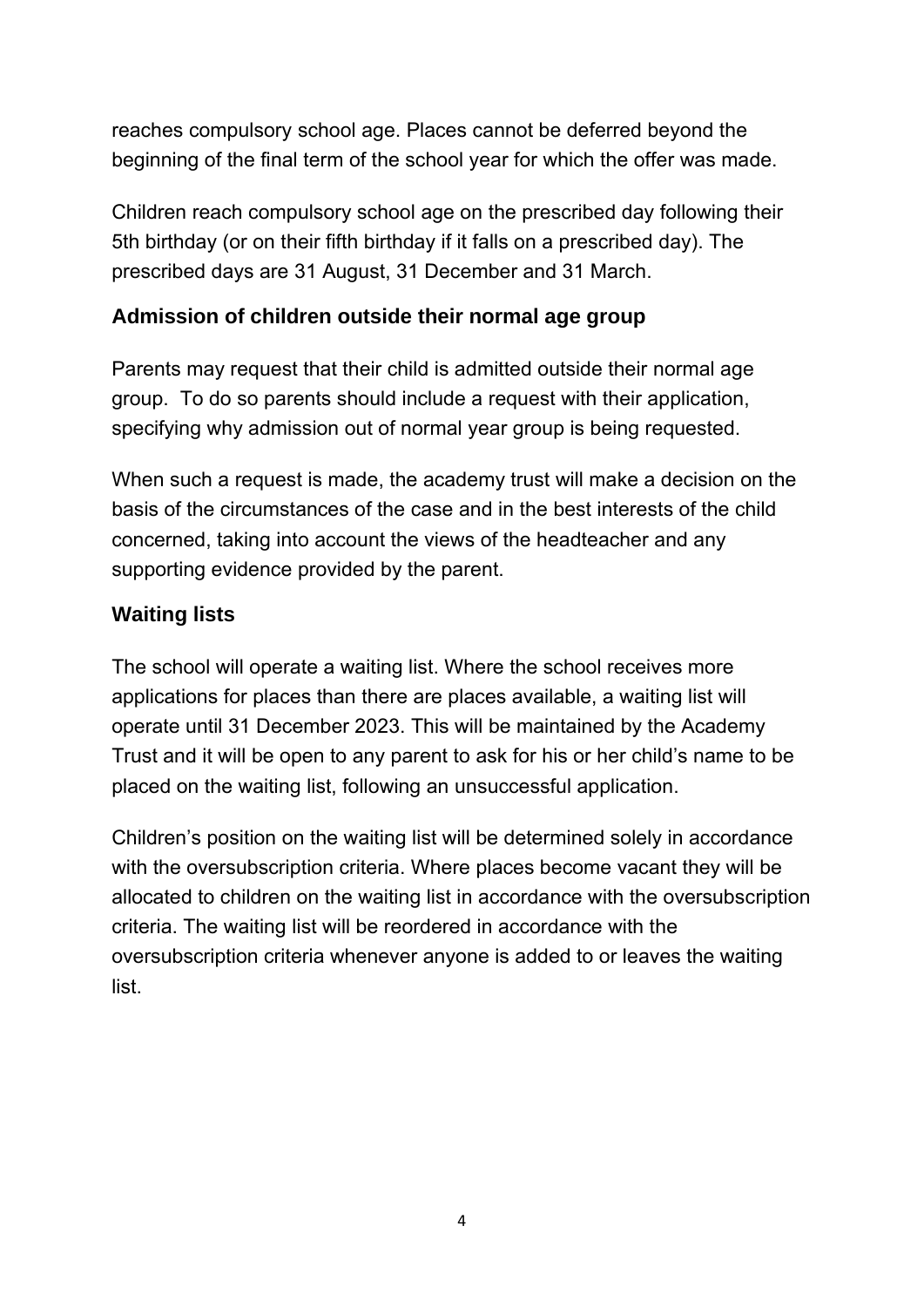reaches compulsory school age. Places cannot be deferred beyond the beginning of the final term of the school year for which the offer was made.

Children reach compulsory school age on the prescribed day following their 5th birthday (or on their fifth birthday if it falls on a prescribed day). The prescribed days are 31 August, 31 December and 31 March.

#### **Admission of children outside their normal age group**

Parents may request that their child is admitted outside their normal age group. To do so parents should include a request with their application, specifying why admission out of normal year group is being requested.

When such a request is made, the academy trust will make a decision on the basis of the circumstances of the case and in the best interests of the child concerned, taking into account the views of the headteacher and any supporting evidence provided by the parent.

# **Waiting lists**

The school will operate a waiting list. Where the school receives more applications for places than there are places available, a waiting list will operate until 31 December 2023. This will be maintained by the Academy Trust and it will be open to any parent to ask for his or her child's name to be placed on the waiting list, following an unsuccessful application.

Children's position on the waiting list will be determined solely in accordance with the oversubscription criteria. Where places become vacant they will be allocated to children on the waiting list in accordance with the oversubscription criteria. The waiting list will be reordered in accordance with the oversubscription criteria whenever anyone is added to or leaves the waiting list.